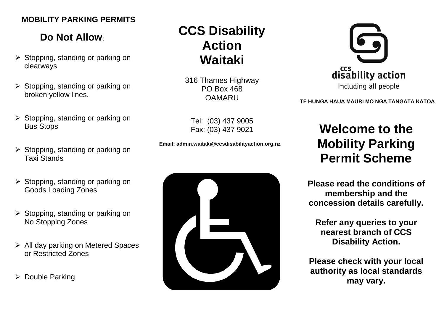### **MOBILITY PARKING PERMITS**

## **Do Not Allow**:

- $\triangleright$  Stopping, standing or parking on clearways
- $\triangleright$  Stopping, standing or parking on broken yellow lines.
- $\triangleright$  Stopping, standing or parking on Bus Stops
- $\triangleright$  Stopping, standing or parking on Taxi Stands
- $\triangleright$  Stopping, standing or parking on Goods Loading Zones
- $\triangleright$  Stopping, standing or parking on No Stopping Zones
- > All day parking on Metered Spaces or Restricted Zones
- **▶ Double Parking**

# **CCS Disability Action Waitaki**

316 Thames Highway PO Box 468 **OAMARU** 

Tel: (03) 437 9005 Fax: (03) 437 9021

**Email: admin.waitaki@ccsdisabilityaction.org.nz**





**TE HUNGA HAUA MAURI MO NGA TANGATA KATOA**

# **Welcome to the Mobility Parking Permit Scheme**

**Please read the conditions of membership and the concession details carefully.**

**Refer any queries to your nearest branch of CCS Disability Action.**

**Please check with your local authority as local standards may vary.**